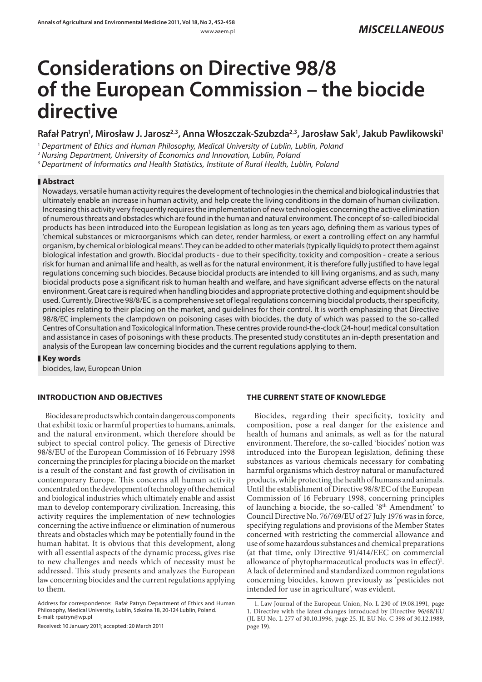# **Considerations on Directive 98/8 of the European Commission – the biocide directive**

## Rafał Patryn<sup>1</sup>, Mirosław J. Jarosz<sup>2,3</sup>, Anna Włoszczak-Szubzda<sup>2,3</sup>, Jarosław Sak<sup>1</sup>, Jakub Pawlikowski<sup>1</sup>

<sup>1</sup> Department of Ethics and Human Philosophy, Medical University of Lublin, Lublin, Poland

<sup>2</sup> Nursing Department, University of Economics and Innovation, Lublin, Poland

<sup>3</sup> Department of Informatics and Health Statistics, Institute of Rural Health, Lublin, Poland

## **Abstract**

Nowadays, versatile human activity requires the development of technologies in the chemical and biological industries that ultimately enable an increase in human activity, and help create the living conditions in the domain of human civilization. Increasing this activity very frequently requires the implementation of new technologies concerning the active elimination of numerous threats and obstacles which are found in the human and natural environment. The concept of so-called biocidal products has been introduced into the European legislation as long as ten years ago, defining them as various types of 'chemical substances or microorganisms which can deter, render harmless, or exert a controlling effect on any harmful organism, by chemical or biological means'. They can be added to other materials (typically liquids) to protect them against biological infestation and growth. Biocidal products - due to their specificity, toxicity and composition - create a serious risk for human and animal life and health, as well as for the natural environment, it is therefore fully justified to have legal regulations concerning such biocides. Because biocidal products are intended to kill living organisms, and as such, many biocidal products pose a significant risk to human health and welfare, and have significant adverse effects on the natural environment. Great care is required when handling biocides and appropriate protective clothing and equipment should be used. Currently, Directive 98/8/EC is a comprehensive set of legal regulations concerning biocidal products, their specificity, principles relating to their placing on the market, and guidelines for their control. It is worth emphasizing that Directive 98/8/EC implements the clampdown on poisoning cases with biocides, the duty of which was passed to the so-called Centres of Consultation and Toxicological Information. These centres provide round-the-clock (24-hour) medical consultation and assistance in cases of poisonings with these products. The presented study constitutes an in-depth presentation and analysis of the European law concerning biocides and the current regulations applying to them.

### **Key words**

biocides, law, European Union

## **INTRODUCTION AND OBJECTIVES**

Biocides are products which contain dangerous components that exhibit toxic or harmful properties to humans, animals, and the natural environment, which therefore should be subject to special control policy. The genesis of Directive 98/8/EU of the European Commission of 16 February 1998 concerning the principles for placing a biocide on the market is a result of the constant and fast growth of civilisation in contemporary Europe. This concerns all human activity concentrated on the development of technology of the chemical and biological industries which ultimately enable and assist man to develop contemporary civilization. Increasing, this activity requires the implementation of new technologies concerning the active influence or elimination of numerous threats and obstacles which may be potentially found in the human habitat. It is obvious that this development, along with all essential aspects of the dynamic process, gives rise to new challenges and needs which of necessity must be addressed. This study presents and analyzes the European law concerning biocides and the current regulations applying to them.

Received: 10 January 2011; accepted: 20 March 2011

## **THE CURRENT STATE OF KNOWLEDGE**

Biocides, regarding their specificity, toxicity and composition, pose a real danger for the existence and health of humans and animals, as well as for the natural environment. Therefore, the so-called 'biocides' notion was introduced into the European legislation, defining these substances as various chemicals necessary for combating harmful organisms which destroy natural or manufactured products, while protecting the health of humans and animals. Until the establishment of Directive 98/8/EC of the European Commission of 16 February 1998, concerning principles of launching a biocide, the so-called '8th Amendment' to Council Directive No. 76/769/EU of 27 July 1976 was in force, specifying regulations and provisions of the Member States concerned with restricting the commercial allowance and use of some hazardous substances and chemical preparations (at that time, only Directive 91/414/EEC on commercial allowance of phytopharmaceutical products was in effect)<sup>1</sup>. A lack of determined and standardized common regulations concerning biocides, known previously as 'pesticides not intended for use in agriculture', was evident.

Address for correspondence: Rafał Patryn Department of Ethics and Human Philosophy, Medical University, Lublin, Szkolna 18, 20-124 Lublin, Poland. E-mail: rpatryn@wp.pl

<sup>1.</sup> Law Journal of the European Union, No. L 230 of 19.08.1991, page 1. Directive with the latest changes introduced by Directive 96/68/EU (JL EU No. L 277 of 30.10.1996, page 25. JL EU No. C 398 of 30.12.1989, page 19).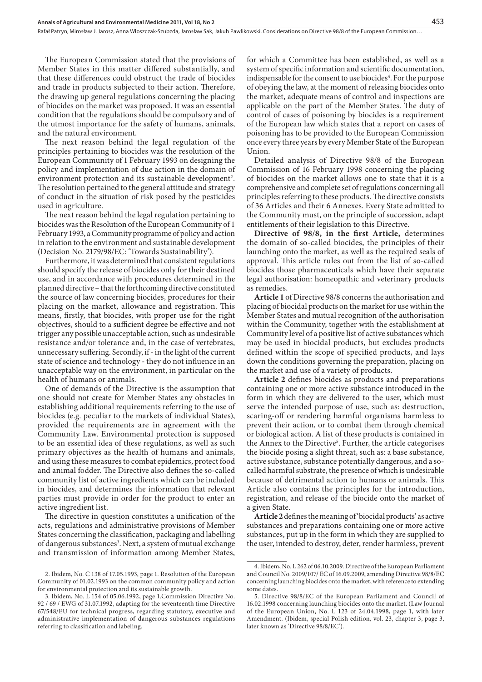Rafał Patryn, Mirosław J. Jarosz, Anna Włoszczak-Szubzda, Jarosław Sak, Jakub Pawlikowski. Considerations on Directive 98/8 of the European Commission…

The European Commission stated that the provisions of Member States in this matter differed substantially, and that these differences could obstruct the trade of biocides and trade in products subjected to their action. Therefore, the drawing up general regulations concerning the placing of biocides on the market was proposed. It was an essential condition that the regulations should be compulsory and of the utmost importance for the safety of humans, animals, and the natural environment.

The next reason behind the legal regulation of the principles pertaining to biocides was the resolution of the European Community of 1 February 1993 on designing the policy and implementation of due action in the domain of environment protection and its sustainable development<sup>2</sup>. The resolution pertained to the general attitude and strategy of conduct in the situation of risk posed by the pesticides used in agriculture.

The next reason behind the legal regulation pertaining to biocides was the Resolution of the European Community of 1 February 1993, a Community programme of policy and action in relation to the environment and sustainable development (Decision No. 2179/98/EC: 'Towards Sustainability').

Furthermore, it was determined that consistent regulations should specify the release of biocides only for their destined use, and in accordance with procedures determined in the planned directive – that the forthcoming directive constituted the source of law concerning biocides, procedures for their placing on the market, allowance and registration. This means, firstly, that biocides, with proper use for the right objectives, should to a sufficient degree be effective and not trigger any possible unacceptable action, such as undesirable resistance and/or tolerance and, in the case of vertebrates, unnecessary suffering. Secondly, if - in the light of the current state of science and technology - they do not influence in an unacceptable way on the environment, in particular on the health of humans or animals.

One of demands of the Directive is the assumption that one should not create for Member States any obstacles in establishing additional requirements referring to the use of biocides (e.g. peculiar to the markets of individual States), provided the requirements are in agreement with the Community Law. Environmental protection is supposed to be an essential idea of these regulations, as well as such primary objectives as the health of humans and animals, and using these measures to combat epidemics, protect food and animal fodder. The Directive also defines the so-called community list of active ingredients which can be included in biocides, and determines the information that relevant parties must provide in order for the product to enter an active ingredient list.

The directive in question constitutes a unification of the acts, regulations and administrative provisions of Member States concerning the classification, packaging and labelling of dangerous substances<sup>3</sup>. Next, a system of mutual exchange and transmission of information among Member States,

for which a Committee has been established, as well as a system of specific information and scientific documentation, indispensable for the consent to use biocides<sup>4</sup>. For the purpose of obeying the law, at the moment of releasing biocides onto the market, adequate means of control and inspections are applicable on the part of the Member States. The duty of control of cases of poisoning by biocides is a requirement of the European law which states that a report on cases of poisoning has to be provided to the European Commission once every three years by every Member State of the European Union.

Detailed analysis of Directive 98/8 of the European Commission of 16 February 1998 concerning the placing of biocides on the market allows one to state that it is a comprehensive and complete set of regulations concerning all principles referring to these products. The directive consists of 36 Articles and their 6 Annexes. Every State admitted to the Community must, on the principle of succession, adapt entitlements of their legislation to this Directive.

Directive of 98/8, in the first Article, determines the domain of so-called biocides, the principles of their launching onto the market, as well as the required seals of approval. This article rules out from the list of so-called biocides those pharmaceuticals which have their separate legal authorisation: homeopathic and veterinary products as remedies.

**Article 1** of Directive 98/8 concerns the authorisation and placing of biocidal products on the market for use within the Member States and mutual recognition of the authorisation within the Community, together with the establishment at Community level of a positive list of active substances which may be used in biocidal products, but excludes products defined within the scope of specified products, and lays down the conditions governing the preparation, placing on the market and use of a variety of products.

Article 2 defines biocides as products and preparations containing one or more active substance introduced in the form in which they are delivered to the user, which must serve the intended purpose of use, such as: destruction, scaring-off or rendering harmful organisms harmless to prevent their action, or to combat them through chemical or biological action. A list of these products is contained in the Annex to the Directive<sup>5</sup>. Further, the article categorises the biocide posing a slight threat, such as: a base substance, active substance, substance potentially dangerous, and a socalled harmful substrate, the presence of which is undesirable because of detrimental action to humans or animals. This Article also contains the principles for the introduction, registration, and release of the biocide onto the market of a given State.

Article 2 defines the meaning of 'biocidal products' as active substances and preparations containing one or more active substances, put up in the form in which they are supplied to the user, intended to destroy, deter, render harmless, prevent

<sup>2.</sup> Ibidem, No. C 138 of 17.05.1993, page 1. Resolution of the European Community of 01.02.1993 on the common community policy and action for environmental protection and its sustainable growth.

<sup>3.</sup> Ibidem, No. L 154 of 05.06.1992, page 1.Commission Directive No. 92 / 69 / EWG of 31.07.1992, adapting for the seventeenth time Directive 67/548/EU for technical progress, regarding statutory, executive and administrative implementation of dangerous substances regulations referring to classification and labeling.

<sup>4.</sup> Ibidem, No. L 262 of 06.10.2009. Directive of the European Parliament and Council No. 2009/107/ EC of 16.09.2009, amending Directive 98/8/EC concerning launching biocides onto the market, with reference to extending some dates.

<sup>5.</sup> Directive 98/8/EC of the European Parliament and Council of 16.02.1998 concerning launching biocides onto the market. (Law Journal of the European Union, No. L 123 of 24.04.1998, page 1, with later Amendment. (Ibidem, special Polish edition, vol. 23, chapter 3, page 3, later known as 'Directive 98/8/EC').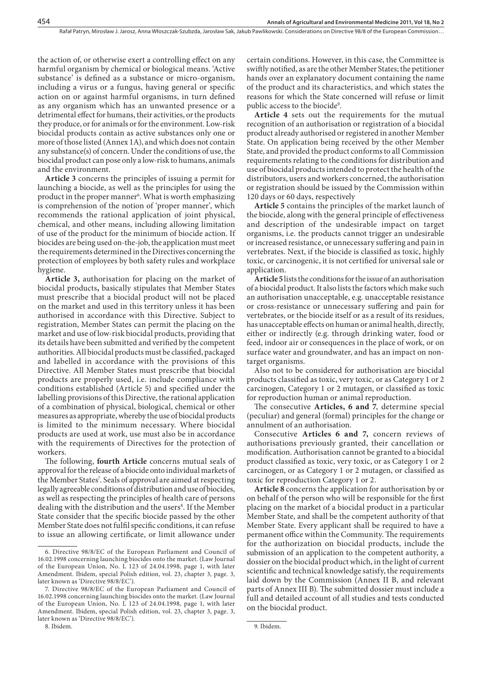the action of, or otherwise exert a controlling effect on any harmful organism by chemical or biological means. 'Active substance' is defined as a substance or micro-organism, including a virus or a fungus, having general or specific action on or against harmful organisms, in turn defined as any organism which has an unwanted presence or a detrimental effect for humans, their activities, or the products they produce, or for animals or for the environment. Low-risk biocidal products contain as active substances only one or more of those listed (Annex 1A), and which does not contain any substance(s) of concern. Under the conditions of use, the biocidal product can pose only a low-risk to humans, animals and the environment.

**Article 3** concerns the principles of issuing a permit for launching a biocide, as well as the principles for using the product in the proper manner<sup>6</sup>. What is worth emphasizing is comprehension of the notion of 'proper manner', which recommends the rational application of joint physical, chemical, and other means, including allowing limitation of use of the product for the minimum of biocide action. If biocides are being used on-the-job, the application must meet the requirements determined in the Directives concerning the protection of employees by both safety rules and workplace hygiene.

**Article 3,** authorisation for placing on the market of biocidal products**,** basically stipulates that Member States must prescribe that a biocidal product will not be placed on the market and used in this territory unless it has been authorised in accordance with this Directive. Subject to registration, Member States can permit the placing on the market and use of low-risk biocidal products, providing that its details have been submitted and verified by the competent authorities. All biocidal products must be classified, packaged and labelled in accordance with the provisions of this Directive. All Member States must prescribe that biocidal products are properly used, i.e. include compliance with conditions established (Article 5) and specified under the labelling provisions of this Directive, the rational application of a combination of physical, biological, chemical or other measures as appropriate, whereby the use of biocidal products is limited to the minimum necessary. Where biocidal products are used at work, use must also be in accordance with the requirements of Directives for the protection of workers.

The following, **fourth Article** concerns mutual seals of approval for the release of a biocide onto individual markets of the Member States<sup>7</sup>. Seals of approval are aimed at respecting legally agreeable conditions of distribution and use of biocides, as well as respecting the principles of health care of persons dealing with the distribution and the users<sup>8</sup>. If the Member State consider that the specific biocide passed by the other Member State does not fulfil specific conditions, it can refuse to issue an allowing certificate, or limit allowance under

8. Ibidem.

certain conditions. However, in this case, the Committee is swiftly notified, as are the other Member States; the petitioner hands over an explanatory document containing the name of the product and its characteristics, and which states the reasons for which the State concerned will refuse or limit public access to the biocide<sup>9</sup>.

**Article 4** sets out the requirements for the mutual recognition of an authorisation or registration of a biocidal product already authorised or registered in another Member State. On application being received by the other Member State, and provided the product conforms to all Commission requirements relating to the conditions for distribution and use of biocidal products intended to protect the health of the distributors, users and workers concerned, the authorisation or registration should be issued by the Commission within 120 days or 60 days, respectively

**Article 5** contains the principles of the market launch of the biocide, along with the general principle of effectiveness and description of the undesirable impact on target organisms, i.e. the products cannot trigger an undesirable or increased resistance, or unnecessary suffering and pain in vertebrates. Next, if the biocide is classified as toxic, highly toxic, or carcinogenic, it is not certified for universal sale or application.

**Article 5** lists the conditions for the issue of an authorisation of a biocidal product. It also lists the factors which make such an authorisation unacceptable, e.g. unacceptable resistance or cross-resistance or unnecessary suffering and pain for vertebrates, or the biocide itself or as a result of its residues, has unacceptable effects on human or animal health, directly, either or indirectly (e.g. through drinking water, food or feed, indoor air or consequences in the place of work, or on surface water and groundwater, and has an impact on nontarget organisms.

Also not to be considered for authorisation are biocidal products classified as toxic, very toxic, or as Category 1 or 2 carcinogen, Category 1 or 2 mutagen, or classified as toxic for reproduction human or animal reproduction.

The consecutive Articles, 6 and 7, determine special (peculiar) and general (formal) principles for the change or annulment of an authorisation.

Consecutive **Articles 6 and 7,** concern reviews of authorisations previously granted, their cancellation or modification. Authorisation cannot be granted to a biocidal product classified as toxic, very toxic, or as Category 1 or 2 carcinogen, or as Category 1 or 2 mutagen, or classified as toxic for reproduction Category 1 or 2.

**Article 8** concerns the application for authorisation by or on behalf of the person who will be responsible for the first placing on the market of a biocidal product in a particular Member State, and shall be the competent authority of that Member State. Every applicant shall be required to have a permanent office within the Community. The requirements for the authorization on biocidal products, include the submission of an application to the competent authority, a dossier on the biocidal product which, in the light of current scientific and technical knowledge satisfy, the requirements laid down by the Commission (Annex II B, and relevant parts of Annex III B). The submitted dossier must include a full and detailed account of all studies and tests conducted on the biocidal product.

<sup>6.</sup> Directive 98/8/EC of the European Parliament and Council of 16.02.1998 concerning launching biocides onto the market. (Law Journal of the European Union, No. L 123 of 24.04.1998, page 1, with later Amendment. Ibidem, special Polish edition, vol. 23, chapter 3, page. 3, later known as 'Directive 98/8/EC').

<sup>7.</sup> Directive 98/8/EC of the European Parliament and Council of 16.02.1998 concerning launching biocides onto the market. (Law Journal of the European Union, No. L 123 of 24.04.1998, page 1, with later Amendment. Ibidem, special Polish edition, vol. 23, chapter 3, page. 3, later known as 'Directive 98/8/EC').

<sup>9.</sup> Ibidem.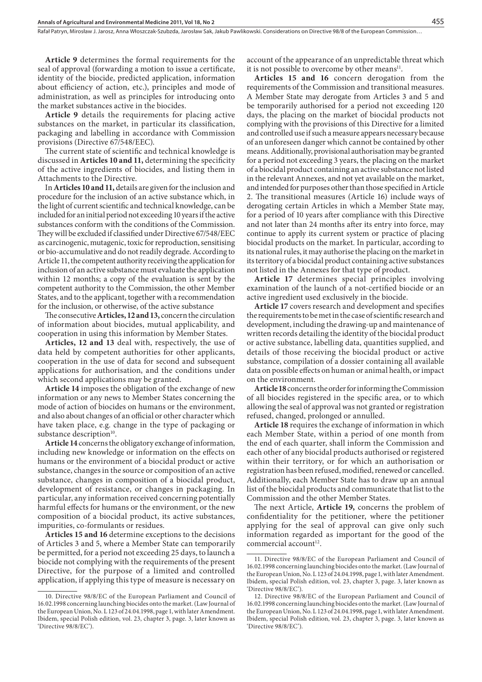Rafał Patryn, Mirosław J. Jarosz, Anna Włoszczak-Szubzda, Jarosław Sak, Jakub Pawlikowski. Considerations on Directive 98/8 of the European Commission…

**Article 9** determines the formal requirements for the seal of approval (forwarding a motion to issue a certificate, identity of the biocide, predicted application, information about efficiency of action, etc.), principles and mode of administration, as well as principles for introducing onto the market substances active in the biocides.

**Article 9** details the requirements for placing active substances on the market, in particular its classification, packaging and labelling in accordance with Commission provisions (Directive 67/548/EEC).

The current state of scientific and technical knowledge is discussed in **Articles 10 and 11,** determining the specificity of the active ingredients of biocides, and listing them in Attachments to the Directive.

In **Articles 10 and 11,** details are given for the inclusion and procedure for the inclusion of an active substance which, in the light of current scientific and technical knowledge, can be included for an initial period not exceeding 10 years if the active substances conform with the conditions of the Commission. They will be excluded if classified under Directive 67/548/EEC as carcinogenic, mutagenic, toxic for reproduction, sensitising or bio-accumulative and do not readily degrade. According to Article 11, the competent authority receiving the application for inclusion of an active substance must evaluate the application within 12 months; a copy of the evaluation is sent by the competent authority to the Commission, the other Member States, and to the applicant, together with a recommendation for the inclusion, or otherwise, of the active substance

The consecutive **Articles, 12 and 13, concern the circulation** of information about biocides, mutual applicability, and cooperation in using this information by Member States.

**Articles, 12 and 13** deal with, respectively, the use of data held by competent authorities for other applicants, cooperation in the use of data for second and subsequent applications for authorisation, and the conditions under which second applications may be granted.

**Article 14** imposes the obligation of the exchange of new information or any news to Member States concerning the mode of action of biocides on humans or the environment, and also about changes of an official or other character which have taken place, e.g. change in the type of packaging or substance description<sup>10</sup>.

**Article 14** concerns the obligatory exchange of information, including new knowledge or information on the effects on humans or the environment of a biocidal product or active substance, changes in the source or composition of an active substance, changes in composition of a biocidal product, development of resistance, or changes in packaging. In particular, any information received concerning potentially harmful effects for humans or the environment, or the new composition of a biocidal product, its active substances, impurities, co-formulants or residues.

**Articles 15 and 16** determine exceptions to the decisions of Articles 3 and 5, where a Member State can temporarily be permitted, for a period not exceeding 25 days, to launch a biocide not complying with the requirements of the present Directive, for the purpose of a limited and controlled application, if applying this type of measure is necessary on account of the appearance of an unpredictable threat which it is not possible to overcome by other means $11$ .

**Articles 15 and 16** concern derogation from the requirements of the Commission and transitional measures. A Member State may derogate from Articles 3 and 5 and be temporarily authorised for a period not exceeding 120 days, the placing on the market of biocidal products not complying with the provisions of this Directive for a limited and controlled use if such a measure appears necessary because of an unforeseen danger which cannot be contained by other means. Additionally, provisional authorisation may be granted for a period not exceeding 3 years, the placing on the market of a biocidal product containing an active substance not listed in the relevant Annexes, and not yet available on the market, and intended for purposes other than those specified in Article 2. The transitional measures (Article 16) include ways of derogating certain Articles in which a Member State may, for a period of 10 years after compliance with this Directive and not later than 24 months after its entry into force, may continue to apply its current system or practice of placing biocidal products on the market. In particular, according to its national rules, it may authorise the placing on the market in its territory of a biocidal product containing active substances not listed in the Annexes for that type of product.

**Article 17** determines special principles involving examination of the launch of a not-certified biocide or an active ingredient used exclusively in the biocide.

Article 17 covers research and development and specifies the requirements to be met in the case of scientific research and development, including the drawing-up and maintenance of written records detailing the identity of the biocidal product or active substance, labelling data, quantities supplied, and details of those receiving the biocidal product or active substance, compilation of a dossier containing all available data on possible effects on human or animal health, or impact on the environment.

**Article 18** concerns the order for informing the Commission of all biocides registered in the specific area, or to which allowing the seal of approval was not granted or registration refused, changed, prolonged or annulled.

**Article 18** requires the exchange of information in which each Member State, within a period of one month from the end of each quarter, shall inform the Commission and each other of any biocidal products authorised or registered within their territory, or for which an authorisation or registration has been refused, modified, renewed or cancelled. Additionally, each Member State has to draw up an annual list of the biocidal products and communicate that list to the Commission and the other Member States.

The next Article, Article 19, concerns the problem of confidentiality for the petitioner, where the petitioner applying for the seal of approval can give only such information regarded as important for the good of the commercial account<sup>12</sup>.

<sup>10.</sup> Directive 98/8/EC of the European Parliament and Council of 16.02.1998 concerning launching biocides onto the market. (Law Journal of the European Union, No. L 123 of 24.04.1998, page 1, with later Amendment. Ibidem, special Polish edition, vol. 23, chapter 3, page. 3, later known as 'Directive 98/8/EC').

<sup>11.</sup> Directive 98/8/EC of the European Parliament and Council of 16.02.1998 concerning launching biocides onto the market. (Law Journal of the European Union, No. L 123 of 24.04.1998, page 1, with later Amendment. Ibidem, special Polish edition, vol. 23, chapter 3, page. 3, later known as 'Directive 98/8/EC').

<sup>12.</sup> Directive 98/8/EC of the European Parliament and Council of 16.02.1998 concerning launching biocides onto the market. (Law Journal of the European Union, No. L 123 of 24.04.1998, page 1, with later Amendment. Ibidem, special Polish edition, vol. 23, chapter 3, page. 3, later known as 'Directive 98/8/EC').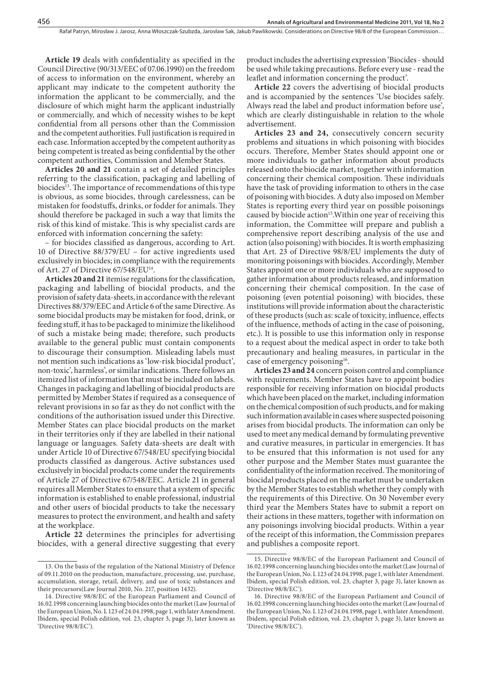Article 19 deals with confidentiality as specified in the Council Directive (90/313/EEC of 07.06.1990) on the freedom of access to information on the environment, whereby an applicant may indicate to the competent authority the information the applicant to be commercially, and the disclosure of which might harm the applicant industrially or commercially, and which of necessity wishes to be kept confidential from all persons other than the Commission and the competent authorities. Full justification is required in each case. Information accepted by the competent authority as being competent is treated as being confidential by the other competent authorities, Commission and Member States.

**Articles 20 and 21** contain a set of detailed principles referring to the classification, packaging and labelling of biocides<sup>13</sup>. The importance of recommendations of this type is obvious, as some biocides, through carelessness, can be mistaken for foodstuffs, drinks, or fodder for animals. They should therefore be packaged in such a way that limits the risk of this kind of mistake. This is why specialist cards are enforced with information concerning the safety:

– for biocides classified as dangerous, according to Art. 10 of Directive 88/379/EU – for active ingredients used exclusively in biocides; in compliance with the requirements of Art. 27 of Directive 67/548/EU14.

Articles 20 and 21 itemise regulations for the classification, packaging and labelling of biocidal products, and the provision of safety data-sheets, in accordance with the relevant Directives 88/379/EEC and Article 6 of the same Directive. As some biocidal products may be mistaken for food, drink, or feeding stuff, it has to be packaged to minimize the likelihood of such a mistake being made; therefore, such products available to the general public must contain components to discourage their consumption. Misleading labels must not mention such indications as 'low-risk biocidal product', non-toxic', harmless', or similar indications. There follows an itemized list of information that must be included on labels. Changes in packaging and labelling of biocidal products are permitted by Member States if required as a consequence of relevant provisions in so far as they do not conflict with the conditions of the authorisation issued under this Directive. Member States can place biocidal products on the market in their territories only if they are labelled in their national language or languages. Safety data-sheets are dealt with under Article 10 of Directive 67/548/EU specifying biocidal products classified as dangerous. Active substances used exclusively in biocidal products come under the requirements of Article 27 of Directive 67/548/EEC. Article 21 in general requires all Member States to ensure that a system of specific information is established to enable professional, industrial and other users of biocidal products to take the necessary measures to protect the environment, and health and safety at the workplace.

**Article 22** determines the principles for advertising biocides, with a general directive suggesting that every

product includes the advertising expression 'Biocides - should be used while taking precautions. Before every use - read the leaflet and information concerning the product'.

**Article 22** covers the advertising of biocidal products and is accompanied by the sentences 'Use biocides safely. Always read the label and product information before use', which are clearly distinguishable in relation to the whole advertisement.

**Articles 23 and 24,** consecutively concern security problems and situations in which poisoning with biocides occurs. Therefore, Member States should appoint one or more individuals to gather information about products released onto the biocide market, together with information concerning their chemical composition. These individuals have the task of providing information to others in the case of poisoning with biocides. A duty also imposed on Member States is reporting every third year on possible poisonings caused by biocide action<sup>15</sup>. Within one year of receiving this information, the Committee will prepare and publish a comprehensive report describing analysis of the use and action (also poisoning) with biocides. It is worth emphasizing that Art. 23 of Directive 98/8/EU implements the duty of monitoring poisonings with biocides. Accordingly, Member States appoint one or more individuals who are supposed to gather information about products released, and information concerning their chemical composition. In the case of poisoning (even potential poisoning) with biocides, these institutions will provide information about the characteristic of these products (such as: scale of toxicity, influence, effects of the influence, methods of acting in the case of poisoning, etc.). It is possible to use this information only in response to a request about the medical aspect in order to take both precautionary and healing measures, in particular in the case of emergency poisoning<sup>16</sup>.

**Articles 23 and 24** concern poison control and compliance with requirements. Member States have to appoint bodies responsible for receiving information on biocidal products which have been placed on the market, including information on the chemical composition of such products, and for making such information available in cases where suspected poisoning arises from biocidal products. The information can only be used to meet any medical demand by formulating preventive and curative measures, in particular in emergencies. It has to be ensured that this information is not used for any other purpose and the Member States must guarantee the confidentiality of the information received. The monitoring of biocidal products placed on the market must be undertaken by the Member States to establish whether they comply with the requirements of this Directive. On 30 November every third year the Members States have to submit a report on their actions in these matters, together with information on any poisonings involving biocidal products. Within a year of the receipt of this information, the Commission prepares and publishes a composite report.

<sup>13.</sup> On the basis of the regulation of the National Ministry of Defence of 09.11.2010 on the production, manufacture, processing, use, purchase, accumulation, storage, retail, delivery, and use of toxic substances and their precursors(Law Journal 2010, No. 217, position 1432).

<sup>14.</sup> Directive 98/8/EC of the European Parliament and Council of 16.02.1998 concerning launching biocides onto the market (Law Journal of the European Union, No. L 123 of 24.04.1998, page 1, with later Amendment. Ibidem, special Polish edition, vol. 23, chapter 3, page 3), later known as 'Directive 98/8/EC').

<sup>15.</sup> Directive 98/8/EC of the European Parliament and Council of 16.02.1998 concerning launching biocides onto the market (Law Journal of the European Union, No. L 123 of 24.04.1998, page 1, with later Amendment. Ibidem, special Polish edition, vol. 23, chapter 3, page 3), later known as 'Directive 98/8/EC').

<sup>16.</sup> Directive 98/8/EC of the European Parliament and Council of 16.02.1998 concerning launching biocides onto the market (Law Journal of the European Union, No. L 123 of 24.04.1998, page 1, with later Amendment. Ibidem, special Polish edition, vol. 23, chapter 3, page 3), later known as 'Directive 98/8/EC').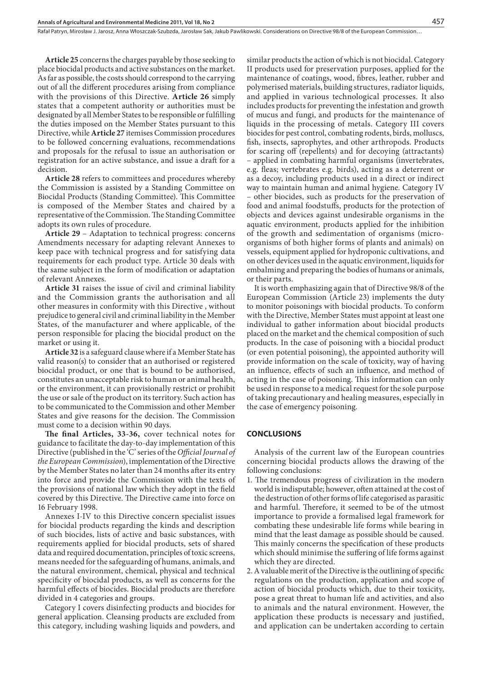**Article 25** concerns the charges payable by those seeking to place biocidal products and active substances on the market. As far as possible, the costs should correspond to the carrying out of all the different procedures arising from compliance with the provisions of this Directive. **Article 26** simply states that a competent authority or authorities must be designated by all Member States to be responsible or fulfilling the duties imposed on the Member States pursuant to this Directive, while **Article 27** itemises Commission procedures to be followed concerning evaluations, recommendations and proposals for the refusal to issue an authorisation or registration for an active substance, and issue a draft for a decision.

**Article 28** refers to committees and procedures whereby the Commission is assisted by a Standing Committee on Biocidal Products (Standing Committee). This Committee is composed of the Member States and chaired by a representative of the Commission. The Standing Committee adopts its own rules of procedure.

**Article 29** – Adaptation to technical progress: concerns Amendments necessary for adapting relevant Annexes to keep pace with technical progress and for satisfying data requirements for each product type. Article 30 deals with the same subject in the form of modification or adaptation of relevant Annexes.

**Article 31** raises the issue of civil and criminal liability and the Commission grants the authorisation and all other measures in conformity with this Directive , without prejudice to general civil and criminal liability in the Member States, of the manufacturer and where applicable, of the person responsible for placing the biocidal product on the market or using it.

**Article 32** is a safeguard clause where if a Member State has valid reason(s) to consider that an authorised or registered biocidal product, or one that is bound to be authorised, constitutes an unacceptable risk to human or animal health, or the environment, it can provisionally restrict or prohibit the use or sale of the product on its territory. Such action has to be communicated to the Commission and other Member States and give reasons for the decision. The Commission must come to a decision within 90 days.

The final Articles, 33-36, cover technical notes for guidance to facilitate the day-to-day implementation of this Directive (published in the 'C' series of the *Official Journal of the European Commission*), implementation of the Directive by the Member States no later than 24 months after its entry into force and provide the Commission with the texts of the provisions of national law which they adopt in the field covered by this Directive. The Directive came into force on 16 February 1998.

Annexes I-IV to this Directive concern specialist issues for biocidal products regarding the kinds and description of such biocides, lists of active and basic substances, with requirements applied for biocidal products, sets of shared data and required documentation, principles of toxic screens, means needed for the safeguarding of humans, animals, and the natural environment, chemical, physical and technical specificity of biocidal products, as well as concerns for the harmful effects of biocides. Biocidal products are therefore divided in 4 categories and groups.

Category I covers disinfecting products and biocides for general application. Cleansing products are excluded from this category, including washing liquids and powders, and similar products the action of which is not biocidal. Category II products used for preservation purposes, applied for the maintenance of coatings, wood, fibres, leather, rubber and polymerised materials, building structures, radiator liquids, and applied in various technological processes. It also includes products for preventing the infestation and growth of mucus and fungi, and products for the maintenance of liquids in the processing of metals. Category III covers biocides for pest control, combating rodents, birds, molluscs, fish, insects, saprophytes, and other arthropods. Products for scaring off (repellents) and for decoying (attractants) – applied in combating harmful organisms (invertebrates, e.g. fleas; vertebrates e.g. birds), acting as a deterrent or as a decoy, including products used in a direct or indirect way to maintain human and animal hygiene. Category IV – other biocides, such as products for the preservation of food and animal foodstuffs, products for the protection of objects and devices against undesirable organisms in the aquatic environment, products applied for the inhibition of the growth and sedimentation of organisms (microorganisms of both higher forms of plants and animals) on vessels, equipment applied for hydroponic cultivations, and on other devices used in the aquatic environment, liquids for embalming and preparing the bodies of humans or animals, or their parts.

It is worth emphasizing again that of Directive 98/8 of the European Commission (Article 23) implements the duty to monitor poisonings with biocidal products. To conform with the Directive, Member States must appoint at least one individual to gather information about biocidal products placed on the market and the chemical composition of such products. In the case of poisoning with a biocidal product (or even potential poisoning), the appointed authority will provide information on the scale of toxicity, way of having an influence, effects of such an influence, and method of acting in the case of poisoning. This information can only be used in response to a medical request for the sole purpose of taking precautionary and healing measures, especially in the case of emergency poisoning.

## **CONCLUSIONS**

Analysis of the current law of the European countries concerning biocidal products allows the drawing of the following conclusions:

- 1. The tremendous progress of civilization in the modern world is indisputable; however, often attained at the cost of the destruction of other forms of life categorised as parasitic and harmful. Therefore, it seemed to be of the utmost importance to provide a formalised legal framework for combating these undesirable life forms while bearing in mind that the least damage as possible should be caused. This mainly concerns the specification of these products which should minimise the suffering of life forms against which they are directed.
- 2. A valuable merit of the Directive is the outlining of specific regulations on the production, application and scope of action of biocidal products which, due to their toxicity, pose a great threat to human life and activities, and also to animals and the natural environment. However, the application these products is necessary and justified, and application can be undertaken according to certain